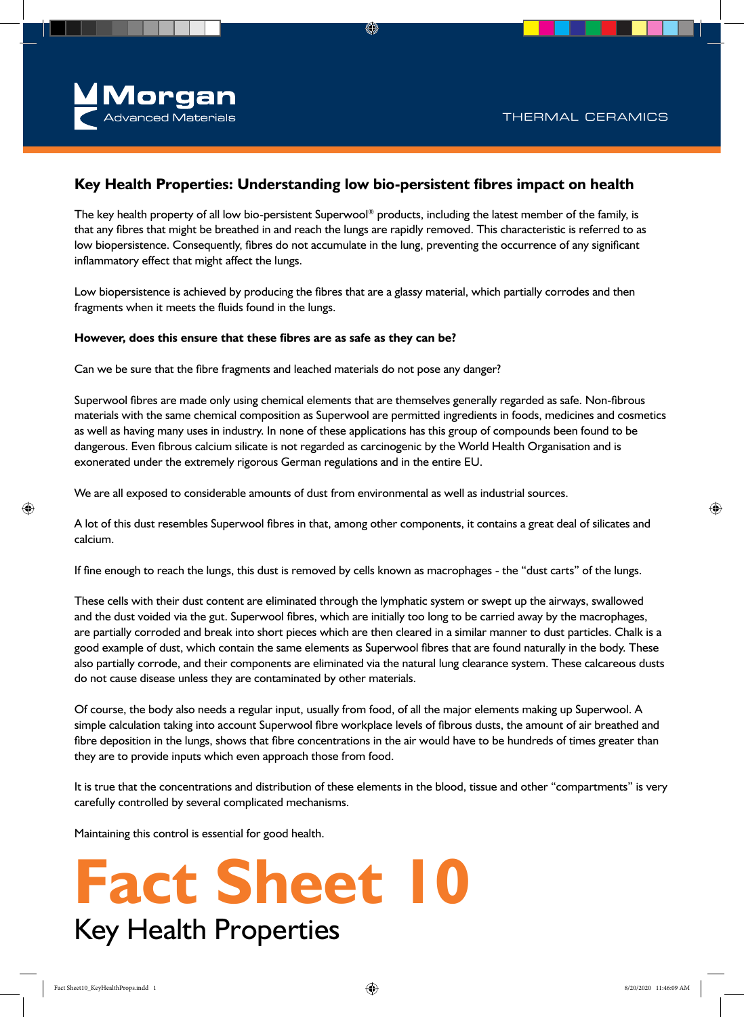

### **Key Health Properties: Understanding low bio-persistent fibres impact on health**

The key health property of all low bio-persistent Superwool® products, including the latest member of the family, is that any fibres that might be breathed in and reach the lungs are rapidly removed. This characteristic is referred to as low biopersistence. Consequently, fibres do not accumulate in the lung, preventing the occurrence of any significant inflammatory effect that might affect the lungs.

Low biopersistence is achieved by producing the fibres that are a glassy material, which partially corrodes and then fragments when it meets the fluids found in the lungs.

### **However, does this ensure that these fibres are as safe as they can be?**

Can we be sure that the fibre fragments and leached materials do not pose any danger?

Superwool fibres are made only using chemical elements that are themselves generally regarded as safe. Non-fibrous materials with the same chemical composition as Superwool are permitted ingredients in foods, medicines and cosmetics as well as having many uses in industry. In none of these applications has this group of compounds been found to be dangerous. Even fibrous calcium silicate is not regarded as carcinogenic by the World Health Organisation and is exonerated under the extremely rigorous German regulations and in the entire EU.

We are all exposed to considerable amounts of dust from environmental as well as industrial sources.

A lot of this dust resembles Superwool fibres in that, among other components, it contains a great deal of silicates and calcium.

If fine enough to reach the lungs, this dust is removed by cells known as macrophages - the "dust carts" of the lungs.

These cells with their dust content are eliminated through the lymphatic system or swept up the airways, swallowed and the dust voided via the gut. Superwool fibres, which are initially too long to be carried away by the macrophages, are partially corroded and break into short pieces which are then cleared in a similar manner to dust particles. Chalk is a good example of dust, which contain the same elements as Superwool fibres that are found naturally in the body. These also partially corrode, and their components are eliminated via the natural lung clearance system. These calcareous dusts do not cause disease unless they are contaminated by other materials.

Of course, the body also needs a regular input, usually from food, of all the major elements making up Superwool. A simple calculation taking into account Superwool fibre workplace levels of fibrous dusts, the amount of air breathed and fibre deposition in the lungs, shows that fibre concentrations in the air would have to be hundreds of times greater than they are to provide inputs which even approach those from food.

It is true that the concentrations and distribution of these elements in the blood, tissue and other "compartments" is very carefully controlled by several complicated mechanisms.

Maintaining this control is essential for good health.

# **Fact Sheet 10** Key Health Properties